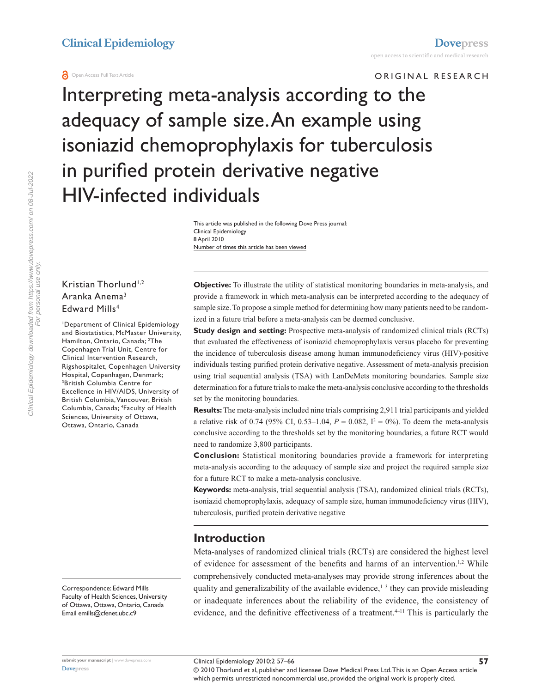#### **A** Open Access Full Text Article

#### ORIGINAL RESEARCH

Interpreting meta-analysis according to the adequacy of sample size. An example using isoniazid chemoprophylaxis for tuberculosis in purified protein derivative negative HIV-infected individuals

> Number of times this article has been viewed This article was published in the following Dove Press journal: Clinical Epidemiology 8 April 2010

### Kristian Thorlund<sup>1,2</sup> Aranka Anema<sup>3</sup> Edward Mills<sup>4</sup>

1 Department of Clinical Epidemiology and Biostatistics, McMaster University, Hamilton, Ontario, Canada; <sup>2</sup>The Copenhagen Trial Unit, Centre for Clinical Intervention Research, Rigshospitalet, Copenhagen University Hospital, Copenhagen, Denmark; 3 British Columbia Centre for Excellence in HIV/AIDS, University of British Columbia, Vancouver, British Columbia, Canada; 4 Faculty of Health Sciences, University of Ottawa, Ottawa, Ontario, Canada

Correspondence: Edward Mills Faculty of Health Sciences, University of Ottawa, Ottawa, Ontario, Canada Email emills@cfenet.ubc.c9

**Objective:** To illustrate the utility of statistical monitoring boundaries in meta-analysis, and provide a framework in which meta-analysis can be interpreted according to the adequacy of sample size. To propose a simple method for determining how many patients need to be randomized in a future trial before a meta-analysis can be deemed conclusive.

**Study design and setting:** Prospective meta-analysis of randomized clinical trials (RCTs) that evaluated the effectiveness of isoniazid chemoprophylaxis versus placebo for preventing the incidence of tuberculosis disease among human immunodeficiency virus (HIV)-positive individuals testing purified protein derivative negative. Assessment of meta-analysis precision using trial sequential analysis (TSA) with LanDeMets monitoring boundaries. Sample size determination for a future trials to make the meta-analysis conclusive according to the thresholds set by the monitoring boundaries.

**Results:** The meta-analysis included nine trials comprising 2,911 trial participants and yielded a relative risk of 0.74 (95% CI, 0.53–1.04,  $P = 0.082$ ,  $I^2 = 0\%$ ). To deem the meta-analysis conclusive according to the thresholds set by the monitoring boundaries, a future RCT would need to randomize 3,800 participants.

**Conclusion:** Statistical monitoring boundaries provide a framework for interpreting meta-analysis according to the adequacy of sample size and project the required sample size for a future RCT to make a meta-analysis conclusive.

**Keywords:** meta-analysis, trial sequential analysis (TSA), randomized clinical trials (RCTs), isoniazid chemoprophylaxis, adequacy of sample size, human immunodeficiency virus (HIV), tuberculosis, purified protein derivative negative

# **Introduction**

Meta-analyses of randomized clinical trials (RCTs) are considered the highest level of evidence for assessment of the benefits and harms of an intervention.<sup>1,2</sup> While comprehensively conducted meta-analyses may provide strong inferences about the quality and generalizability of the available evidence, $1-3$  they can provide misleading or inadequate inferences about the reliability of the evidence, the consistency of evidence, and the definitive effectiveness of a treatment.<sup> $4-11$ </sup> This is particularly the

**submit your manuscript** | <www.dovepress.com>

**[Dovepress](www.dovepress.com)**

Clinical Epidemiology 2010:2 57–66

© 2010 Thorlund et al, publisher and licensee Dove Medical Press Ltd. This is an Open Access article which permits unrestricted noncommercial use, provided the original work is properly cited.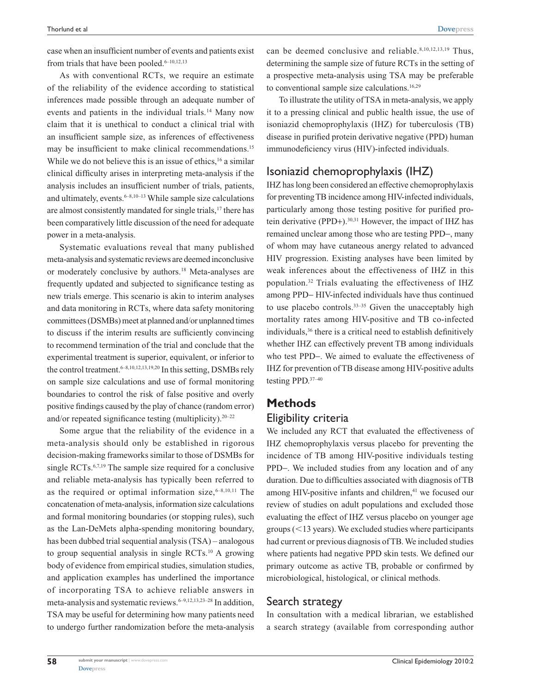case when an insufficient number of events and patients exist from trials that have been pooled. $6-10,12,13$ 

As with conventional RCTs, we require an estimate of the reliability of the evidence according to statistical inferences made possible through an adequate number of events and patients in the individual trials.<sup>14</sup> Many now claim that it is unethical to conduct a clinical trial with an insufficient sample size, as inferences of effectiveness may be insufficient to make clinical recommendations.<sup>15</sup> While we do not believe this is an issue of ethics,<sup>16</sup> a similar clinical difficulty arises in interpreting meta-analysis if the analysis includes an insufficient number of trials, patients, and ultimately, events. $6-8,10-13$  While sample size calculations are almost consistently mandated for single trials,<sup>17</sup> there has been comparatively little discussion of the need for adequate power in a meta-analysis.

Systematic evaluations reveal that many published meta-analysis and systematic reviews are deemed inconclusive or moderately conclusive by authors.18 Meta-analyses are frequently updated and subjected to significance testing as new trials emerge. This scenario is akin to interim analyses and data monitoring in RCTs, where data safety monitoring committees (DSMBs) meet at planned and/or unplanned times to discuss if the interim results are sufficiently convincing to recommend termination of the trial and conclude that the experimental treatment is superior, equivalent, or inferior to the control treatment.<sup>6-8,10,12,13,19,20</sup> In this setting, DSMBs rely on sample size calculations and use of formal monitoring boundaries to control the risk of false positive and overly positive findings caused by the play of chance (random error) and/or repeated significance testing (multiplicity). $20-22$ 

Some argue that the reliability of the evidence in a meta-analysis should only be established in rigorous decision-making frameworks similar to those of DSMBs for single RCTs.<sup>6,7,19</sup> The sample size required for a conclusive and reliable meta-analysis has typically been referred to as the required or optimal information size,  $6-8,10,11$  The concatenation of meta-analysis, information size calculations and formal monitoring boundaries (or stopping rules), such as the Lan-DeMets alpha-spending monitoring boundary, has been dubbed trial sequential analysis (TSA) – analogous to group sequential analysis in single RCTs.<sup>10</sup> A growing body of evidence from empirical studies, simulation studies, and application examples has underlined the importance of incorporating TSA to achieve reliable answers in meta-analysis and systematic reviews.<sup>6-9,12,13,23-28</sup> In addition, TSA may be useful for determining how many patients need to undergo further randomization before the meta-analysis can be deemed conclusive and reliable. $8,10,12,13,19$  Thus, determining the sample size of future RCTs in the setting of a prospective meta-analysis using TSA may be preferable to conventional sample size calculations.<sup>16,29</sup>

To illustrate the utility of TSA in meta-analysis, we apply it to a pressing clinical and public health issue, the use of isoniazid chemoprophylaxis (IHZ) for tuberculosis (TB) disease in purified protein derivative negative (PPD) human immunodeficiency virus (HIV)-infected individuals.

### Isoniazid chemoprophylaxis (IHZ)

IHZ has long been considered an effective chemoprophylaxis for preventing TB incidence among HIV-infected individuals, particularly among those testing positive for purified protein derivative (PPD+).30,31 However, the impact of IHZ has remained unclear among those who are testing PPD-, many of whom may have cutaneous anergy related to advanced HIV progression. Existing analyses have been limited by weak inferences about the effectiveness of IHZ in this population.32 Trials evaluating the effectiveness of IHZ among PPD- HIV-infected individuals have thus continued to use placebo controls.<sup>33-35</sup> Given the unacceptably high mortality rates among HIV-positive and TB co-infected individuals,36 there is a critical need to establish definitively whether IHZ can effectively prevent TB among individuals who test PPD-. We aimed to evaluate the effectiveness of IHZ for prevention of TB disease among HIV-positive adults testing PPD.37–40

# **Methods**

### Eligibility criteria

We included any RCT that evaluated the effectiveness of IHZ chemoprophylaxis versus placebo for preventing the incidence of TB among HIV-positive individuals testing PPD-. We included studies from any location and of any duration. Due to difficulties associated with diagnosis of TB among HIV-positive infants and children,<sup>41</sup> we focused our review of studies on adult populations and excluded those evaluating the effect of IHZ versus placebo on younger age groups  $(<$ 13 years). We excluded studies where participants had current or previous diagnosis of TB. We included studies where patients had negative PPD skin tests. We defined our primary outcome as active TB, probable or confirmed by microbiological, histological, or clinical methods.

# Search strategy

In consultation with a medical librarian, we established a search strategy (available from corresponding author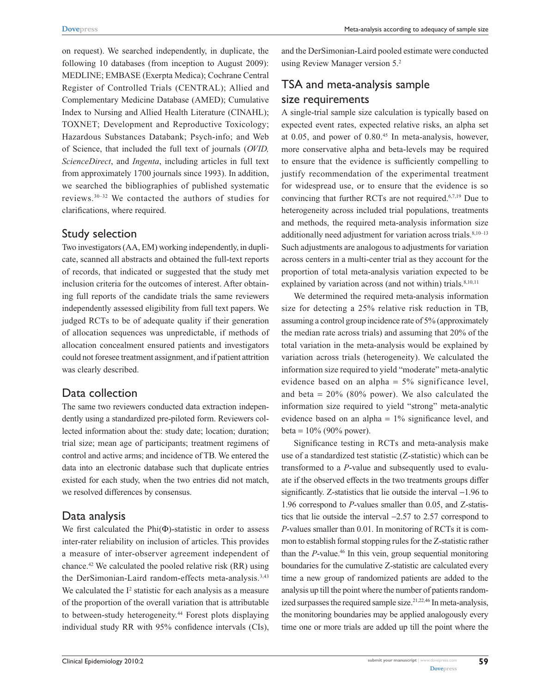on request). We searched independently, in duplicate, the following 10 databases (from inception to August 2009): MEDLINE; EMBASE (Exerpta Medica); Cochrane Central Register of Controlled Trials (CENTRAL); Allied and Complementary Medicine Database (AMED); Cumulative Index to Nursing and Allied Health Literature (CINAHL); TOXNET; Development and Reproductive Toxicology; Hazardous Substances Databank; Psych-info; and Web of Science, that included the full text of journals (*OVID, ScienceDirect*, and *Ingenta*, including articles in full text from approximately 1700 journals since 1993). In addition, we searched the bibliographies of published systematic reviews.30–32 We contacted the authors of studies for clarifications, where required.

### Study selection

Two investigators (AA, EM) working independently, in duplicate, scanned all abstracts and obtained the full-text reports of records, that indicated or suggested that the study met inclusion criteria for the outcomes of interest. After obtaining full reports of the candidate trials the same reviewers independently assessed eligibility from full text papers. We judged RCTs to be of adequate quality if their generation of allocation sequences was unpredictable, if methods of allocation concealment ensured patients and investigators could not foresee treatment assignment, and if patient attrition was clearly described.

# Data collection

The same two reviewers conducted data extraction independently using a standardized pre-piloted form. Reviewers collected information about the: study date; location; duration; trial size; mean age of participants; treatment regimens of control and active arms; and incidence of TB. We entered the data into an electronic database such that duplicate entries existed for each study, when the two entries did not match, we resolved differences by consensus.

# Data analysis

We first calculated the Phi(Φ)-statistic in order to assess inter-rater reliability on inclusion of articles. This provides a measure of inter-observer agreement independent of chance.<sup>42</sup> We calculated the pooled relative risk  $(RR)$  using the DerSimonian-Laird random-effects meta-analysis.<sup>3,43</sup> We calculated the  $I^2$  statistic for each analysis as a measure of the proportion of the overall variation that is attributable to between-study heterogeneity.<sup>44</sup> Forest plots displaying individual study RR with 95% confidence intervals (CIs),

and the DerSimonian-Laird pooled estimate were conducted using Review Manager version 5.2

# TSA and meta-analysis sample size requirements

A single-trial sample size calculation is typically based on expected event rates, expected relative risks, an alpha set at  $0.05$ , and power of  $0.80<sup>45</sup>$  In meta-analysis, however, more conservative alpha and beta-levels may be required to ensure that the evidence is sufficiently compelling to justify recommendation of the experimental treatment for widespread use, or to ensure that the evidence is so convincing that further RCTs are not required.6,7,19 Due to heterogeneity across included trial populations, treatments and methods, the required meta-analysis information size additionally need adjustment for variation across trials. $8,10-13$ Such adjustments are analogous to adjustments for variation across centers in a multi-center trial as they account for the proportion of total meta-analysis variation expected to be explained by variation across (and not within) trials.<sup>8,10,11</sup>

We determined the required meta-analysis information size for detecting a 25% relative risk reduction in TB, assuming a control group incidence rate of 5% (approximately the median rate across trials) and assuming that 20% of the total variation in the meta-analysis would be explained by variation across trials (heterogeneity). We calculated the information size required to yield "moderate" meta-analytic evidence based on an alpha = 5% significance level, and beta =  $20\%$  (80% power). We also calculated the information size required to yield "strong" meta-analytic evidence based on an alpha = 1% significance level, and beta =  $10\%$  (90% power).

Significance testing in RCTs and meta-analysis make use of a standardized test statistic (Z-statistic) which can be transformed to a *P*-value and subsequently used to evaluate if the observed effects in the two treatments groups differ significantly. Z-statistics that lie outside the interval −1.96 to 1.96 correspond to *P*-values smaller than 0.05, and Z-statistics that lie outside the interval −2.57 to 2.57 correspond to *P*-values smaller than 0.01. In monitoring of RCTs it is common to establish formal stopping rules for the Z-statistic rather than the *P*-value.<sup>46</sup> In this vein, group sequential monitoring boundaries for the cumulative Z-statistic are calculated every time a new group of randomized patients are added to the analysis up till the point where the number of patients randomized surpasses the required sample size.<sup>21,22,46</sup> In meta-analysis, the monitoring boundaries may be applied analogously every time one or more trials are added up till the point where the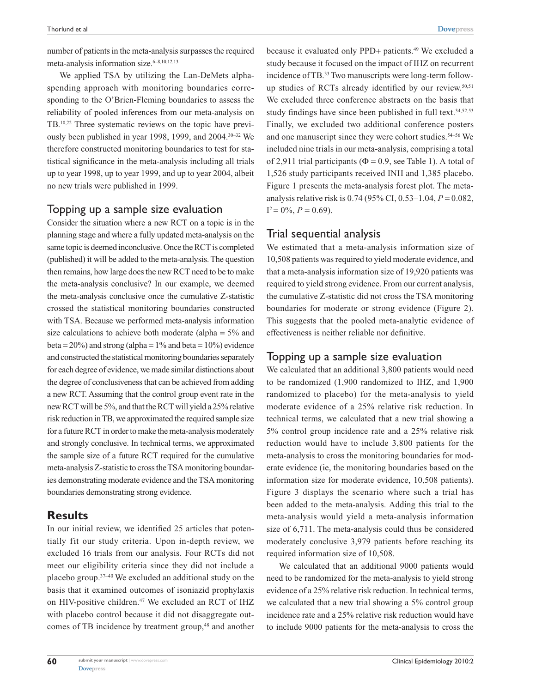number of patients in the meta-analysis surpasses the required meta-analysis information size.<sup>6–8,10,12,13</sup>

We applied TSA by utilizing the Lan-DeMets alphaspending approach with monitoring boundaries corresponding to the O'Brien-Fleming boundaries to assess the reliability of pooled inferences from our meta-analysis on TB.10,22 Three systematic reviews on the topic have previously been published in year 1998, 1999, and 2004.<sup>30-32</sup> We therefore constructed monitoring boundaries to test for statistical significance in the meta-analysis including all trials up to year 1998, up to year 1999, and up to year 2004, albeit no new trials were published in 1999.

### Topping up a sample size evaluation

Consider the situation where a new RCT on a topic is in the planning stage and where a fully updated meta-analysis on the same topic is deemed inconclusive. Once the RCT is completed (published) it will be added to the meta-analysis. The question then remains, how large does the new RCT need to be to make the meta-analysis conclusive? In our example, we deemed the meta-analysis conclusive once the cumulative Z-statistic crossed the statistical monitoring boundaries constructed with TSA. Because we performed meta-analysis information size calculations to achieve both moderate (alpha  $= 5\%$  and beta =  $20\%$ ) and strong (alpha =  $1\%$  and beta =  $10\%$ ) evidence and constructed the statistical monitoring boundaries separately for each degree of evidence, we made similar distinctions about the degree of conclusiveness that can be achieved from adding a new RCT. Assuming that the control group event rate in the new RCT will be 5%, and that the RCT will yield a 25% relative risk reduction in TB, we approximated the required sample size for a future RCT in order to make the meta-analysis moderately and strongly conclusive. In technical terms, we approximated the sample size of a future RCT required for the cumulative meta-analysis Z-statistic to cross the TSA monitoring boundaries demonstrating moderate evidence and the TSA monitoring boundaries demonstrating strong evidence.

### **Results**

In our initial review, we identified 25 articles that potentially fit our study criteria. Upon in-depth review, we excluded 16 trials from our analysis. Four RCTs did not meet our eligibility criteria since they did not include a placebo group.37–40 We excluded an additional study on the basis that it examined outcomes of isoniazid prophylaxis on HIV-positive children.<sup>47</sup> We excluded an RCT of IHZ with placebo control because it did not disaggregate outcomes of TB incidence by treatment group,<sup>48</sup> and another because it evaluated only PPD+ patients.<sup>49</sup> We excluded a study because it focused on the impact of IHZ on recurrent incidence of TB.33 Two manuscripts were long-term followup studies of RCTs already identified by our review.<sup>50,51</sup> We excluded three conference abstracts on the basis that study findings have since been published in full text.<sup>34,52,53</sup> Finally, we excluded two additional conference posters and one manuscript since they were cohort studies.<sup>54–56</sup> We included nine trials in our meta-analysis, comprising a total of 2,911 trial participants ( $\Phi$  = 0.9, see Table 1). A total of 1,526 study participants received INH and 1,385 placebo. Figure 1 presents the meta-analysis forest plot. The metaanalysis relative risk is 0.74 (95% CI, 0.53–1.04, *P* = 0.082,  $I^2 = 0\%, P = 0.69$ .

### Trial sequential analysis

We estimated that a meta-analysis information size of 10,508 patients was required to yield moderate evidence, and that a meta-analysis information size of 19,920 patients was required to yield strong evidence. From our current analysis, the cumulative Z-statistic did not cross the TSA monitoring boundaries for moderate or strong evidence (Figure 2). This suggests that the pooled meta-analytic evidence of effectiveness is neither reliable nor definitive.

### Topping up a sample size evaluation

We calculated that an additional 3,800 patients would need to be randomized (1,900 randomized to IHZ, and 1,900 randomized to placebo) for the meta-analysis to yield moderate evidence of a 25% relative risk reduction. In technical terms, we calculated that a new trial showing a 5% control group incidence rate and a 25% relative risk reduction would have to include 3,800 patients for the meta-analysis to cross the monitoring boundaries for moderate evidence (ie, the monitoring boundaries based on the information size for moderate evidence, 10,508 patients). Figure 3 displays the scenario where such a trial has been added to the meta-analysis. Adding this trial to the meta-analysis would yield a meta-analysis information size of 6,711. The meta-analysis could thus be considered moderately conclusive 3,979 patients before reaching its required information size of 10,508.

We calculated that an additional 9000 patients would need to be randomized for the meta-analysis to yield strong evidence of a 25% relative risk reduction. In technical terms, we calculated that a new trial showing a 5% control group incidence rate and a 25% relative risk reduction would have to include 9000 patients for the meta-analysis to cross the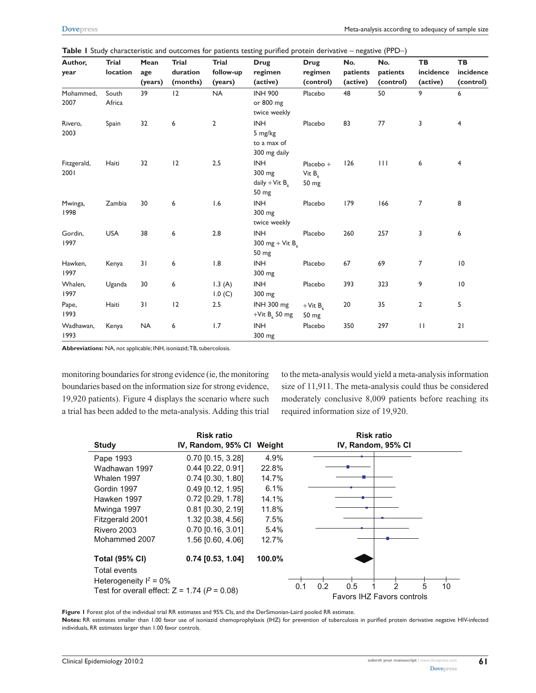| Author,<br>year     | <b>Trial</b><br>location | Mean<br>age<br>(years) | <b>Trial</b><br>duration<br>(months) | <b>Trial</b><br>follow-up<br>(years) | - -<br><b>Drug</b><br>regimen<br>(active)            | Drug<br>regimen<br>(control)        | No.<br>patients<br>(active) | No.<br>patients<br>(control) | TB<br>incidence<br>(active) | TB<br>incidence<br>(control) |
|---------------------|--------------------------|------------------------|--------------------------------------|--------------------------------------|------------------------------------------------------|-------------------------------------|-----------------------------|------------------------------|-----------------------------|------------------------------|
| Mohammed,<br>2007   | South<br>Africa          | 39                     | $ 2\rangle$                          | <b>NA</b>                            | <b>INH 900</b><br>or 800 mg<br>twice weekly          | Placebo                             | 48                          | 50                           | 9                           | 6                            |
| Rivero,<br>2003     | Spain                    | 32                     | 6                                    | $\overline{2}$                       | <b>INH</b><br>5 mg/kg<br>to a max of<br>300 mg daily | Placebo                             | 83                          | $77$                         | 3                           | 4                            |
| Fitzgerald,<br>2001 | Haiti                    | 32                     | 12                                   | 2.5                                  | <b>INH</b><br>300 mg<br>daily + Vit $B_6$<br>50 mg   | Placebo $+$<br>Vit $B_{6}$<br>50 mg | 126                         | $\mathbf{H}$                 | 6                           | 4                            |
| Mwinga,<br>1998     | Zambia                   | 30                     | 6                                    | 1.6                                  | <b>INH</b><br>300 mg<br>twice weekly                 | Placebo                             | 179                         | 166                          | 7                           | 8                            |
| Gordin,<br>1997     | <b>USA</b>               | 38                     | 6                                    | 2.8                                  | <b>INH</b><br>300 mg + Vit $B_{k}$<br>50 mg          | Placebo                             | 260                         | 257                          | 3                           | 6                            |
| Hawken,<br>1997     | Kenya                    | 31                     | 6                                    | 1.8                                  | <b>INH</b><br>300 mg                                 | Placebo                             | 67                          | 69                           | 7                           | 10                           |
| Whalen,<br>1997     | Uganda                   | 30                     | 6                                    | 1.3(A)<br>1.0(C)                     | <b>INH</b><br>300 mg                                 | Placebo                             | 393                         | 323                          | 9                           | $\overline{10}$              |
| Pape,<br>1993       | Haiti                    | 31                     | 12                                   | 2.5                                  | INH 300 mg<br>+Vit $Bk$ 50 mg                        | +Vit $B_{\epsilon}$<br>50 mg        | 20                          | 35                           | $\overline{2}$              | 5                            |
| Wadhawan,<br>1993   | Kenya                    | <b>NA</b>              | 6                                    | 1.7                                  | <b>INH</b><br>300 mg                                 | Placebo                             | 350                         | 297                          | $\mathbf{H}$                | 21                           |

**Abbreviations:** NA, not applicable; INH, isoniazid; TB, tubercolosis.

monitoring boundaries for strong evidence (ie, the monitoring boundaries based on the information size for strong evidence, 19,920 patients). Figure 4 displays the scenario where such a trial has been added to the meta-analysis. Adding this trial to the meta-analysis would yield a meta-analysis information size of 11,911. The meta-analysis could thus be considered moderately conclusive 8,009 patients before reaching its required information size of 19,920.

|                                                    | <b>Risk ratio</b><br>IV, Random, 95% CI |                                   | <b>Risk ratio</b><br>IV, Random, 95% CI |
|----------------------------------------------------|-----------------------------------------|-----------------------------------|-----------------------------------------|
| Study                                              |                                         | Weight                            |                                         |
| Pape 1993                                          | $0.70$ [0.15, 3.28]                     | 4.9%                              |                                         |
| Wadhawan 1997                                      | $0.44$ [0.22, 0.91]                     | 22.8%                             |                                         |
| Whalen 1997                                        | $0.74$ [0.30, 1.80]                     | 14.7%                             |                                         |
| Gordin 1997                                        | $0.49$ [0.12, 1.95]                     | 6.1%                              |                                         |
| Hawken 1997                                        | $0.72$ [0.29, 1.78]                     | 14.1%                             |                                         |
| Mwinga 1997                                        | $0.81$ [0.30, 2.19]                     | 11.8%                             |                                         |
| Fitzgerald 2001                                    | 1.32 [0.38, 4.56]                       | 7.5%                              |                                         |
| Rivero 2003                                        | $0.70$ [0.16, 3.01]                     | 5.4%                              |                                         |
| Mohammed 2007                                      | 1.56 [0.60, 4.06]                       | 12.7%                             |                                         |
| <b>Total (95% CI)</b>                              | $0.74$ [0.53, 1.04]                     | 100.0%                            |                                         |
| Total events                                       |                                         |                                   |                                         |
| Heterogeneity $I^z = 0\%$                          |                                         |                                   |                                         |
|                                                    |                                         | 5<br>2<br>0.2<br>10<br>0.1<br>0.5 |                                         |
| Test for overall effect: $Z = 1.74$ ( $P = 0.08$ ) |                                         |                                   | Favors IHZ Favors controls              |

**Figure 1** Forest plot of the individual trial RR estimates and 95% CIs, and the DerSimonian-Laird pooled RR estimate.

Notes: RR estimates smaller than 1.00 favor use of isoniazid chemoprophylaxis (IHZ) for prevention of tuberculosis in purified protein derivative negative HIV-infected individuals, RR estimates larger than 1.00 favor controls.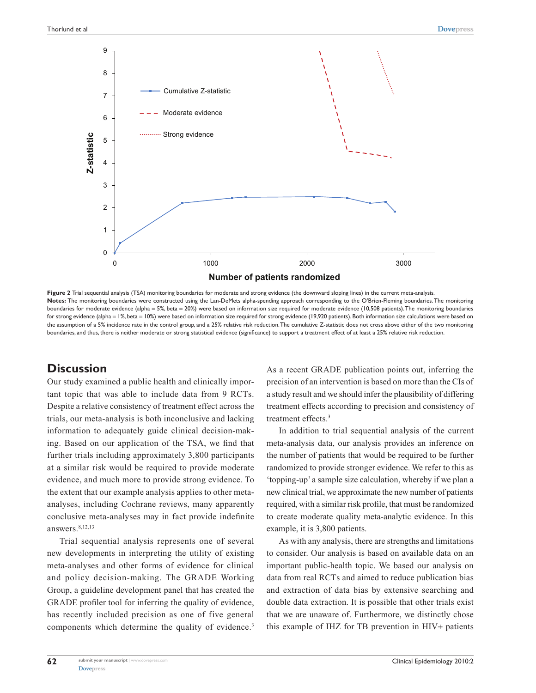

**Figure 2** Trial sequential analysis (TSA) monitoring boundaries for moderate and strong evidence (the downward sloping lines) in the current meta-analysis. **Notes:** The monitoring boundaries were constructed using the Lan-DeMets alpha-spending approach corresponding to the O'Brien-Fleming boundaries. The monitoring boundaries for moderate evidence (alpha = 5%, beta = 20%) were based on information size required for moderate evidence (10,508 patients). The monitoring boundaries for strong evidence (alpha = 1%, beta = 10%) were based on information size required for strong evidence (19,920 patients). Both information size calculations were based on the assumption of a 5% incidence rate in the control group, and a 25% relative risk reduction. The cumulative Z-statistic does not cross above either of the two monitoring boundaries, and thus, there is neither moderate or strong statistical evidence (significance) to support a treatment effect of at least a 25% relative risk reduction.

### **Discussion**

Our study examined a public health and clinically important topic that was able to include data from 9 RCTs. Despite a relative consistency of treatment effect across the trials, our meta-analysis is both inconclusive and lacking information to adequately guide clinical decision-making. Based on our application of the TSA, we find that further trials including approximately 3,800 participants at a similar risk would be required to provide moderate evidence, and much more to provide strong evidence. To the extent that our example analysis applies to other metaanalyses, including Cochrane reviews, many apparently conclusive meta-analyses may in fact provide indefinite answers.8,12,13

Trial sequential analysis represents one of several new developments in interpreting the utility of existing meta-analyses and other forms of evidence for clinical and policy decision-making. The GRADE Working Group, a guideline development panel that has created the GRADE profiler tool for inferring the quality of evidence, has recently included precision as one of five general components which determine the quality of evidence.<sup>3</sup>

As a recent GRADE publication points out, inferring the precision of an intervention is based on more than the CIs of a study result and we should infer the plausibility of differing treatment effects according to precision and consistency of treatment effects.3

In addition to trial sequential analysis of the current meta-analysis data, our analysis provides an inference on the number of patients that would be required to be further randomized to provide stronger evidence. We refer to this as 'topping-up' a sample size calculation, whereby if we plan a new clinical trial, we approximate the new number of patients required, with a similar risk profile, that must be randomized to create moderate quality meta-analytic evidence. In this example, it is 3,800 patients.

As with any analysis, there are strengths and limitations to consider. Our analysis is based on available data on an important public-health topic. We based our analysis on data from real RCTs and aimed to reduce publication bias and extraction of data bias by extensive searching and double data extraction. It is possible that other trials exist that we are unaware of. Furthermore, we distinctly chose this example of IHZ for TB prevention in HIV+ patients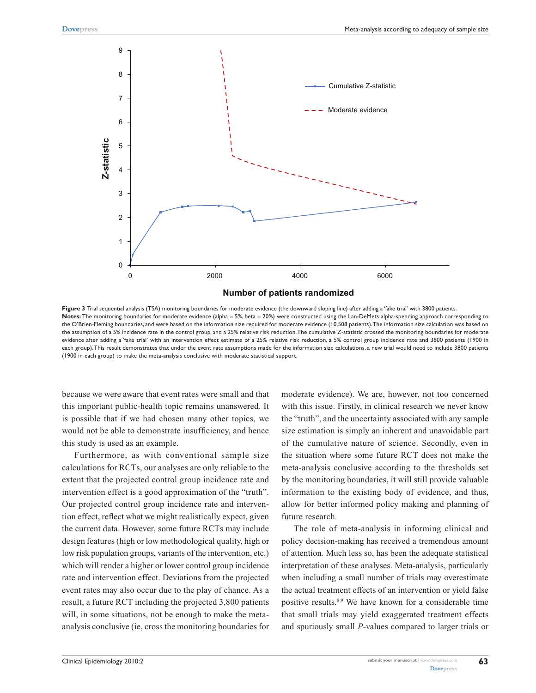

Figure 3 Trial sequential analysis (TSA) monitoring boundaries for moderate evidence (the downward sloping line) after adding a 'fake trial' with 3800 patients. **Notes:** The monitoring boundaries for moderate evidence (alpha = 5%, beta = 20%) were constructed using the Lan-DeMets alpha-spending approach corresponding to the O'Brien-Fleming boundaries, and were based on the information size required for moderate evidence (10,508 patients). The information size calculation was based on the assumption of a 5% incidence rate in the control group, and a 25% relative risk reduction. The cumulative Z-statistic crossed the monitoring boundaries for moderate evidence after adding a 'fake trial' with an intervention effect estimate of a 25% relative risk reduction, a 5% control group incidence rate and 3800 patients (1900 in each group). This result demonstrates that under the event rate assumptions made for the information size calculations, a new trial would need to include 3800 patients (1900 in each group) to make the meta-analysis conclusive with moderate statistical support.

because we were aware that event rates were small and that this important public-health topic remains unanswered. It is possible that if we had chosen many other topics, we would not be able to demonstrate insufficiency, and hence this study is used as an example.

Furthermore, as with conventional sample size calculations for RCTs, our analyses are only reliable to the extent that the projected control group incidence rate and intervention effect is a good approximation of the "truth". Our projected control group incidence rate and intervention effect, reflect what we might realistically expect, given the current data. However, some future RCTs may include design features (high or low methodological quality, high or low risk population groups, variants of the intervention, etc.) which will render a higher or lower control group incidence rate and intervention effect. Deviations from the projected event rates may also occur due to the play of chance. As a result, a future RCT including the projected 3,800 patients will, in some situations, not be enough to make the metaanalysis conclusive (ie, cross the monitoring boundaries for moderate evidence). We are, however, not too concerned with this issue. Firstly, in clinical research we never know the "truth", and the uncertainty associated with any sample size estimation is simply an inherent and unavoidable part of the cumulative nature of science. Secondly, even in the situation where some future RCT does not make the meta-analysis conclusive according to the thresholds set by the monitoring boundaries, it will still provide valuable information to the existing body of evidence, and thus, allow for better informed policy making and planning of future research.

The role of meta-analysis in informing clinical and policy decision-making has received a tremendous amount of attention. Much less so, has been the adequate statistical interpretation of these analyses. Meta-analysis, particularly when including a small number of trials may overestimate the actual treatment effects of an intervention or yield false positive results.8,9 We have known for a considerable time that small trials may yield exaggerated treatment effects and spuriously small *P*-values compared to larger trials or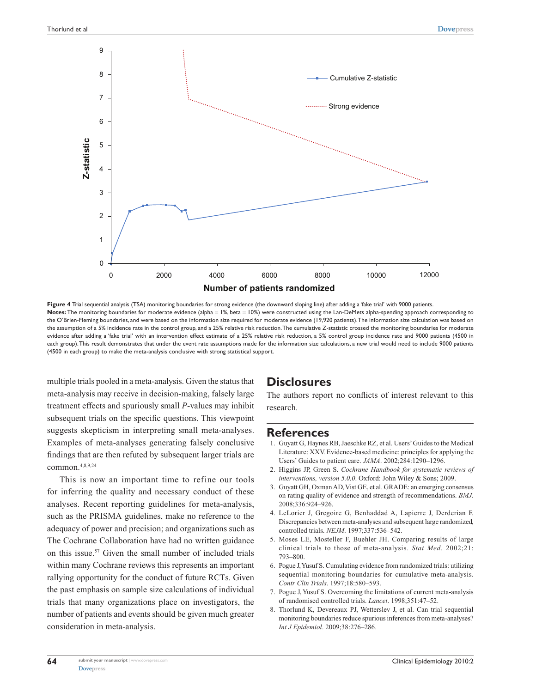

Figure 4 Trial sequential analysis (TSA) monitoring boundaries for strong evidence (the downward sloping line) after adding a 'fake trial' with 9000 patients. **Notes:** The monitoring boundaries for moderate evidence (alpha = 1%, beta = 10%) were constructed using the Lan-DeMets alpha-spending approach corresponding to the O'Brien-Fleming boundaries, and were based on the information size required for moderate evidence (19,920 patients). The information size calculation was based on the assumption of a 5% incidence rate in the control group, and a 25% relative risk reduction. The cumulative Z-statistic crossed the monitoring boundaries for moderate evidence after adding a 'fake trial' with an intervention effect estimate of a 25% relative risk reduction, a 5% control group incidence rate and 9000 patients (4500 in each group). This result demonstrates that under the event rate assumptions made for the information size calculations, a new trial would need to include 9000 patients (4500 in each group) to make the meta-analysis conclusive with strong statistical support.

multiple trials pooled in a meta-analysis. Given the status that meta-analysis may receive in decision-making, falsely large treatment effects and spuriously small *P*-values may inhibit subsequent trials on the specific questions. This viewpoint suggests skepticism in interpreting small meta-analyses. Examples of meta-analyses generating falsely conclusive findings that are then refuted by subsequent larger trials are common.4,8,9,24

This is now an important time to refine our tools for inferring the quality and necessary conduct of these analyses. Recent reporting guidelines for meta-analysis, such as the PRISMA guidelines, make no reference to the adequacy of power and precision; and organizations such as The Cochrane Collaboration have had no written guidance on this issue.57 Given the small number of included trials within many Cochrane reviews this represents an important rallying opportunity for the conduct of future RCTs. Given the past emphasis on sample size calculations of individual trials that many organizations place on investigators, the number of patients and events should be given much greater consideration in meta-analysis.

### **Disclosures**

The authors report no conflicts of interest relevant to this research.

#### **References**

- 1. Guyatt G, Haynes RB, Jaeschke RZ, et al. Users' Guides to the Medical Literature: XXV. Evidence-based medicine: principles for applying the Users' Guides to patient care. *JAMA*. 2002;284:1290–1296.
- 2. Higgins JP, Green S. *Cochrane Handbook for systematic reviews of interventions, version 5.0.0*. Oxford: John Wiley & Sons; 2009.
- 3. Guyatt GH, Oxman AD, Vist GE, et al. GRADE: an emerging consensus on rating quality of evidence and strength of recommendations. *BMJ*. 2008;336:924–926.
- 4. LeLorier J, Gregoire G, Benhaddad A, Lapierre J, Derderian F. Discrepancies between meta-analyses and subsequent large randomized, controlled trials. *NEJM*. 1997;337:536–542.
- 5. Moses LE, Mosteller F, Buehler JH. Comparing results of large clinical trials to those of meta-analysis. *Stat Med*. 2002;21: 793–800.
- 6. Pogue J, Yusuf S. Cumulating evidence from randomized trials: utilizing sequential monitoring boundaries for cumulative meta-analysis. *Contr Clin Trials*. 1997;18:580–593.
- 7. Pogue J, Yusuf S. Overcoming the limitations of current meta-analysis of randomised controlled trials. *Lancet*. 1998;351:47–52.
- 8. Thorlund K, Devereaux PJ, Wetterslev J, et al. Can trial sequential monitoring boundaries reduce spurious inferences from meta-analyses? *Int J Epidemiol*. 2009;38:276–286.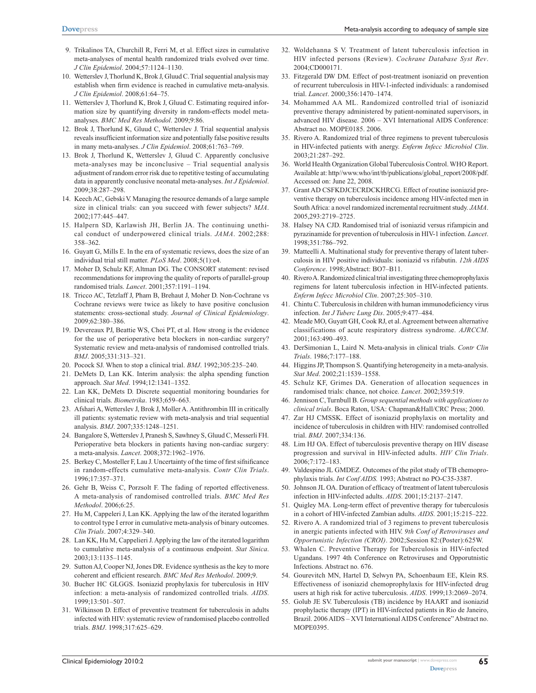- 9. Trikalinos TA, Churchill R, Ferri M, et al. Effect sizes in cumulative meta-analyses of mental health randomized trials evolved over time. *J Clin Epidemiol*. 2004;57:1124–1130.
- 10. Wetterslev J, Thorlund K, Brok J, Gluud C. Trial sequential analysis may establish when firm evidence is reached in cumulative meta-analysis. *J Clin Epidemiol*. 2008;61:64–75.
- 11. Wetterslev J, Thorlund K, Brok J, Gluud C. Estimating required information size by quantifying diversity in random-effects model metaanalyses. *BMC Med Res Methodol*. 2009;9:86.
- 12. Brok J, Thorlund K, Gluud C, Wetterslev J. Trial sequential analysis reveals insufficient information size and potentially false positive results in many meta-analyses. *J Clin Epidemiol*. 2008;61:763–769.
- 13. Brok J, Thorlund K, Wetterslev J, Gluud C. Apparently conclusive meta-analyses may be inconclusive – Trial sequential analysis adjustment of random error risk due to repetitive testing of accumulating data in apparently conclusive neonatal meta-analyses. *Int J Epidemiol*. 2009;38:287–298.
- 14. Keech AC, Gebski V. Managing the resource demands of a large sample size in clinical trials: can you succeed with fewer subjects? *MJA*. 2002;177:445–447.
- 15. Halpern SD, Karlawish JH, Berlin JA. The continuing unethical conduct of underpowered clinical trials. *JAMA*. 2002;288: 358–362.
- 16. Guyatt G, Mills E. In the era of systematic reviews, does the size of an individual trial still matter. *PLoS Med*. 2008;5(1):e4.
- 17. Moher D, Schulz KF, Altman DG. The CONSORT statement: revised recommendations for improving the quality of reports of parallel-group randomised trials. *Lancet*. 2001;357:1191–1194.
- 18. Tricco AC, Tetzlaff J, Pham B, Brehaut J, Moher D. Non-Cochrane vs Cochrane reviews were twice as likely to have positive conclusion statements: cross-sectional study. *Journal of Clinical Epidemiology*. 2009;62:380–386.
- 19. Devereaux PJ, Beattie WS, Choi PT, et al. How strong is the evidence for the use of perioperative beta blockers in non-cardiac surgery? Systematic review and meta-analysis of randomised controlled trials. *BMJ*. 2005;331:313–321.
- 20. Pocock SJ. When to stop a clinical trial. *BMJ*. 1992;305:235–240.
- 21. DeMets D, Lan KK. Interim analysis: the alpha spending function approach. *Stat Med*. 1994;12:1341–1352.
- 22. Lan KK, DeMets D. Discrete sequential monitoring boundaries for clinical trials. *Biometrika*. 1983;659–663.
- 23. Afshari A, Wetterslev J, Brok J, Moller A. Antithrombin III in critically ill patients: systematic review with meta-analysis and trial sequential analysis. *BMJ*. 2007;335:1248–1251.
- 24. Bangalore S, Wetterslev J, Pranesh S, Sawhney S, Gluud C, Messerli FH. Perioperative beta blockers in patients having non-cardiac surgery: a meta-analysis. *Lancet*. 2008;372:1962–1976.
- 25. Berkey C, Mosteller F, Lau J. Uncertainty of the time of first sifnificance in random-effects cumulative meta-analysis. *Contr Clin Trials*. 1996;17:357–371.
- 26. Gehr B, Weiss C, Porzsolt F. The fading of reported effectiveness. A meta-analysis of randomised controlled trials. *BMC Med Res Methodol*. 2006;6:25.
- 27. Hu M, Cappeleri J, Lan KK. Applying the law of the iterated logarithm to control type I error in cumulative meta-analysis of binary outcomes. *Clin Trials*. 2007;4:329–340.
- 28. Lan KK, Hu M, Cappelieri J. Applying the law of the iterated logarithm to cumulative meta-analysis of a continuous endpoint. *Stat Sinica*. 2003;13:1135–1145.
- 29. Sutton AJ, Cooper NJ, Jones DR. Evidence synthesis as the key to more coherent and efficient research. *BMC Med Res Methodol*. 2009;9.
- 30. Bucher HC GLGGS. Isoniazid prophylaxis for tuberculosis in HIV infection: a meta-analysis of randomized controlled trials. *AIDS*. 1999;13:501–507.
- 31. Wilkinson D. Effect of preventive treatment for tuberculosis in adults infected with HIV: systematic review of randomised placebo controlled trials. *BMJ*. 1998;317:625–629.
- 32. Woldehanna S V. Treatment of latent tuberculosis infection in HIV infected persons (Review). *Cochrane Database Syst Rev*. 2004;CD000171.
- 33. Fitzgerald DW DM. Effect of post-treatment isoniazid on prevention of recurrent tuberculosis in HIV-1-infected individuals: a randomised trial. *Lancet*. 2000;356:1470–1474.
- 34. Mohammed AA ML. Randomized controlled trial of isoniazid preventive therapy administered by patient-nominated supervisors, in advanced HIV disease. 2006 – XVI International AIDS Conference: Abstract no. MOPE0185. 2006.
- 35. Rivero A. Randomized trial of three regimens to prevent tuberculosis in HIV-infected patients with anergy. *Enferm Infecc Microbiol Clin*. 2003;21:287–292.
- 36. World Health Organization Global Tuberculosis Control. WHO Report. Available at: http//www.who/int/tb/publications/global\_report/2008/pdf. Accessed on: June 22, 2008.
- 37. Grant AD CSFKDJCECRDCKHRCG. Effect of routine isoniazid preventive therapy on tuberculosis incidence among HIV-infected men in South Africa: a novel randomized incremental recruitment study. *JAMA*. 2005,293:2719–2725.
- 38. Halsey NA CJD. Randomised trial of isoniazid versus rifampicin and pyrazinamide for prevention of tuberculosis in HIV-1 infection. *Lancet*. 1998;351:786–792.
- 39. Matteelli A. Multinational study for preventive therapy of latent tuberculosis in HIV positive individuals: isoniazid vs rifabutin. *12th AIDS Conference*. 1998;Abstract: BO7–B11.
- 40. Rivero A. Randomized clinical trial investigating three chemoprophylaxis regimens for latent tuberculosis infection in HIV-infected patients. *Enferm Infecc Microbiol Clin*. 2007;25:305–310.
- 41. Chintu C. Tuberculosis in children with human immunodeficiency virus infection. *Int J Tuberc Lung Dis*. 2005;9:477–484.
- 42. Meade MO, Guyatt GH, Cook RJ, et al. Agreement between alternative classifications of acute respiratory distress syndrome. *AJRCCM*. 2001;163:490–493.
- 43. DerSimonian L, Laird N. Meta-analysis in clinical trials. *Contr Clin Trials*. 1986;7:177–188.
- 44. Higgins JP, Thompson S. Quantifying heterogeneity in a meta-analysis. *Stat Med*. 2002;21:1539–1558.
- 45. Schulz KF, Grimes DA. Generation of allocation sequences in randomised trials: chance, not choice. *Lancet*. 2002;359:519.
- 46. Jennison C, Turnbull B. *Group sequential methods with applications to clinical trials*. Boca Raton, USA: Chapman&Hall/CRC Press; 2000.
- 47. Zar HJ CMSSK. Effect of isoniazid prophylaxis on mortality and incidence of tuberculosis in children with HIV: randomised controlled trial. *BMJ*. 2007;334:136.
- 48. Lim HJ OA. Effect of tuberculosis preventive therapy on HIV disease progression and survival in HIV-infected adults. *HIV Clin Trials*. 2006;7:172–183.
- 49. Valdespino JL GMDEZ. Outcomes of the pilot study of TB chemoprophylaxis trials. *Int Conf AIDS.* 1993; Abstract no PO-C35-3387.
- 50. Johnson JL OA. Duration of efficacy of treatment of latent tuberculosis infection in HIV-infected adults. *AIDS*. 2001;15:2137–2147.
- 51. Quigley MA. Long-term effect of preventive therapy for tuberculosis in a cohort of HIV-infected Zambian adults. *AIDS*. 2001;15:215–222.
- 52. Rivero A. A randomized trial of 3 regimens to prevent tuberculosis in anergic patients infected with HIV. *9th Conf of Retroviruses and Opportunistic Infection (CROI)*. 2002;Session 82:(Poster):625W.
- 53. Whalen C. Preventive Therapy for Tuberculosis in HIV-infected Ugandans. 1997 4th Conference on Retroviruses and Opporutnistic Infections. Abstract no. 676.
- 54. Gourevitch MN, Hartel D, Selwyn PA, Schoenbaum EE, Klein RS. Effectiveness of isoniazid chemoprophylaxis for HIV-infected drug users at high risk for active tuberculosis. *AIDS*. 1999;13:2069–2074.
- 55. Golub JE SV. Tuberculosis (TB) incidence by HAART and isoniazid prophylactic therapy (IPT) in HIV-infected patients in Rio de Janeiro, Brazil. 2006 AIDS – XVI International AIDS Conference" Abstract no. MOPE0395.